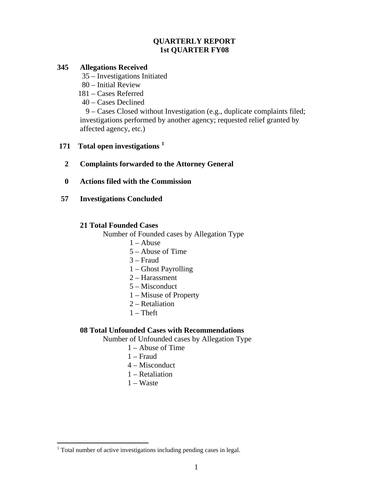# **QUARTERLY REPORT 1st QUARTER FY08**

## **345 Allegations Received**

35 – Investigations Initiated

- 80 Initial Review
- 181 Cases Referred
- 40 Cases Declined

 9 – Cases Closed without Investigation (e.g., duplicate complaints filed; investigations performed by another agency; requested relief granted by affected agency, etc.)

# **171 Total open investigations [1](#page-0-0)**

- **2 Complaints forwarded to the Attorney General**
- **0 Actions filed with the Commission**
- **57 Investigations Concluded**

# **21 Total Founded Cases**

Number of Founded cases by Allegation Type

- $1 -$ Abuse
- 5 Abuse of Time
- 3 Fraud
- 1 Ghost Payrolling
- 2 Harassment
- 5 Misconduct
- 1 Misuse of Property
- 2 Retaliation
- $1 Theft$

### **08 Total Unfounded Cases with Recommendations**

Number of Unfounded cases by Allegation Type

- 1 Abuse of Time
- 1 Fraud
- 4 Misconduct
- 1 Retaliation
- 1 Waste

1

<span id="page-0-0"></span><sup>&</sup>lt;sup>1</sup> Total number of active investigations including pending cases in legal.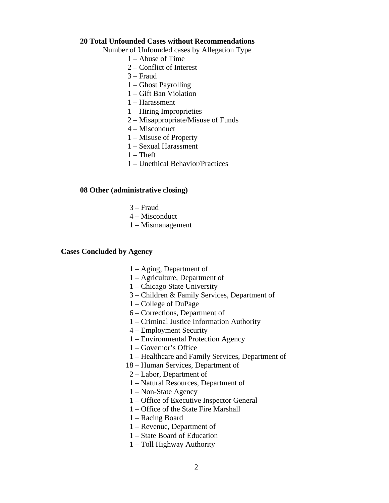#### **20 Total Unfounded Cases without Recommendations**

Number of Unfounded cases by Allegation Type

- 1 Abuse of Time
- 2 Conflict of Interest
- 3 Fraud
- 1 Ghost Payrolling
- 1 Gift Ban Violation
- 1 Harassment
- 1 Hiring Improprieties
- 2 Misappropriate/Misuse of Funds
- 4 Misconduct
- 1 Misuse of Property
- 1 Sexual Harassment
- $1$  Theft
- 1 Unethical Behavior/Practices

#### **08 Other (administrative closing)**

- 3 Fraud
- 4 Misconduct
- 1 Mismanagement

### **Cases Concluded by Agency**

- 1 Aging, Department of
- 1 Agriculture, Department of
- 1 Chicago State University
- 3 Children & Family Services, Department of
- 1 College of DuPage
- 6 Corrections, Department of
- 1 Criminal Justice Information Authority
- 4 Employment Security
- 1 Environmental Protection Agency
- 1 Governor's Office
- 1 Healthcare and Family Services, Department of
- 18 Human Services, Department of
- 2 Labor, Department of
- 1 Natural Resources, Department of
- 1 Non-State Agency
- 1 Office of Executive Inspector General
- 1 Office of the State Fire Marshall
- 1 Racing Board
- 1 Revenue, Department of
- 1 State Board of Education
- 1 Toll Highway Authority